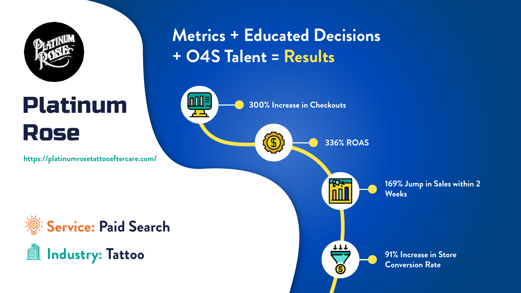

# Platinum Rose

**300% Increase in Checkouts**



**336% ROAS**

 $\frac{1}{111}$ 





**91% Increase in Store Conversion Rate**







**https://platinumrosetattooaftercare.com/**

## **Metrics + Educated Decisions + O4S Talent = Results**

 $\text{Infl}$   $\equiv$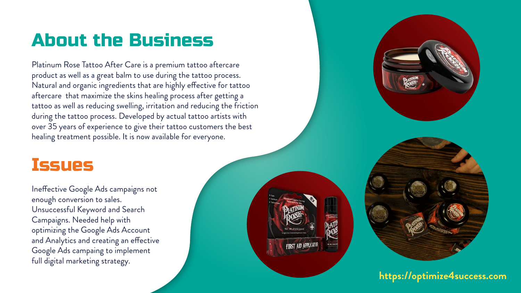## About the Business

#### Issues

Platinum Rose Tattoo After Care is a premium tattoo aftercare product as well as a great balm to use during the tattoo process. Natural and organic ingredients that are highly effective for tattoo aftercare that maximize the skins healing process after getting a tattoo as well as reducing swelling, irritation and reducing the friction during the tattoo process. Developed by actual tattoo artists with over 35 years of experience to give their tattoo customers the best healing treatment possible. It is now available for everyone.

Ineffective Google Ads campaigns not enough conversion to sales. Unsuccessful Keyword and Search Campaigns. Needed help with optimizing the Google Ads Account and Analytics and creating an effective Google Ads campaing to implement full digital marketing strategy.



**https://optimize4success.com**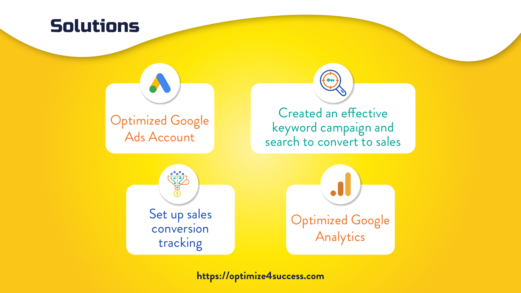

**https://optimize4success.com**